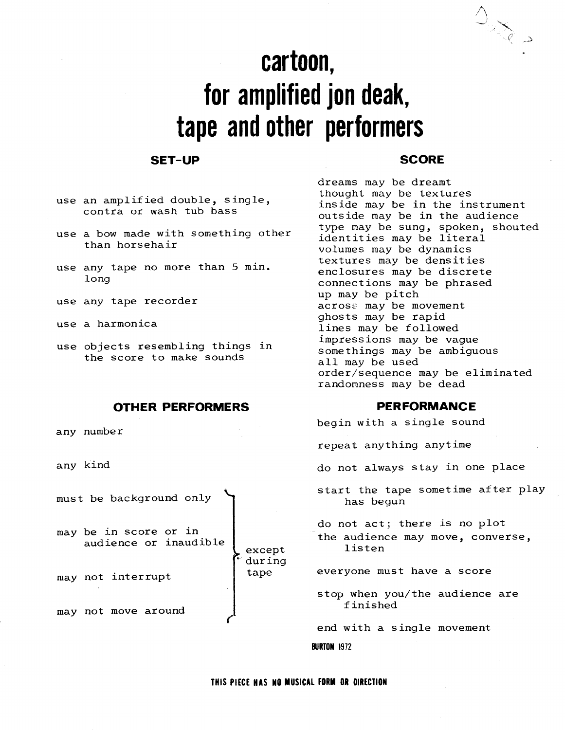# cartoon, for amplified jon deak, tape and other performers

## SET-UP SCORE

- use an amplified double, single, contra or wash tub bass
- use a bow made with something other than horsehair
- use any tape no more than 5 min . long
- use any tape recorder
- use a harmonica
- use objects resembling things in the score to make sounds

### OTHER PERFORMERS PERFORMANCE

any number

any kind

must be background only

may be in score or in audience or inaudible

may not interrupt

may not move around

 $\begin{picture}(120,111) \put(0,0){\line(1,0){150}} \put(15,0){\line(1,0){150}} \put(15,0){\line(1,0){150}} \put(15,0){\line(1,0){150}} \put(15,0){\line(1,0){150}} \put(15,0){\line(1,0){150}} \put(15,0){\line(1,0){150}} \put(15,0){\line(1,0){150}} \put(15,0){\line(1,0){150}} \put(15,0){\line(1,0){150}} \put(15,0){\line(1,0){150$ 

type may be sung, spoken, shouted identities may be literal volumes may be dynamics textures may be densities enclosures may be discrete connections may be phrased impressions may be vague somethings may be ambiguous all may be used order/sequence may be eliminated randomness may be dead up may be pitch across may be movement ghosts may be rapid lines may be followed dreams may be dreamt thought may be textures inside may be in the instrument outside may be in the audience

begin with a single sound

repeat anything anytime

do not always stay in one place

start the tape sometime after play has begun

do not act; there is no plot the audience may move, converse, listen

everyone must have a score

stop when you/the audience are finished

end with a single movement **BURTON 1972** 

except

 dur ing tape

'